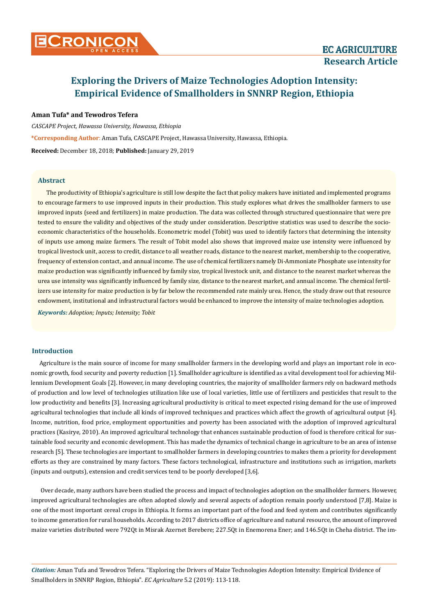# CRONICON **CRONICON EC AGRICULTURE**

## **Research Article**

### **Exploring the Drivers of Maize Technologies Adoption Intensity: Empirical Evidence of Smallholders in SNNRP Region, Ethiopia**

#### **Aman Tufa\* and Tewodros Tefera**

*CASCAPE Project, Hawassa University, Hawassa, Ethiopia* **\*Corresponding Author**: Aman Tufa, CASCAPE Project, Hawassa University, Hawassa, Ethiopia. **Received:** December 18, 2018; **Published:** January 29, 2019

#### **Abstract**

The productivity of Ethiopia's agriculture is still low despite the fact that policy makers have initiated and implemented programs to encourage farmers to use improved inputs in their production. This study explores what drives the smallholder farmers to use improved inputs (seed and fertilizers) in maize production. The data was collected through structured questionnaire that were pre tested to ensure the validity and objectives of the study under consideration. Descriptive statistics was used to describe the socioeconomic characteristics of the households. Econometric model (Tobit) was used to identify factors that determining the intensity of inputs use among maize farmers. The result of Tobit model also shows that improved maize use intensity were influenced by tropical livestock unit, access to credit, distance to all weather roads, distance to the nearest market, membership to the cooperative, frequency of extension contact, and annual income. The use of chemical fertilizers namely Di-Ammoniate Phosphate use intensity for maize production was significantly influenced by family size, tropical livestock unit, and distance to the nearest market whereas the urea use intensity was significantly influenced by family size, distance to the nearest market, and annual income. The chemical fertilizers use intensity for maize production is by far below the recommended rate mainly urea. Hence, the study draw out that resource endowment, institutional and infrastructural factors would be enhanced to improve the intensity of maize technologies adoption.

*Keywords: Adoption; Inputs; Intensity; Tobit*

#### **Introduction**

Agriculture is the main source of income for many smallholder farmers in the developing world and plays an important role in economic growth, food security and poverty reduction [1]. Smallholder agriculture is identified as a vital development tool for achieving Millennium Development Goals [2]. However, in many developing countries, the majority of smallholder farmers rely on backward methods of production and low level of technologies utilization like use of local varieties, little use of fertilizers and pesticides that result to the low productivity and benefits [3]. Increasing agricultural productivity is critical to meet expected rising demand for the use of improved agricultural technologies that include all kinds of improved techniques and practices which affect the growth of agricultural output [4]. Income, nutrition, food price, employment opportunities and poverty has been associated with the adoption of improved agricultural practices (Kasirye, 2010). An improved agricultural technology that enhances sustainable production of food is therefore critical for sustainable food security and economic development. This has made the dynamics of technical change in agriculture to be an area of intense research [5]. These technologies are important to smallholder farmers in developing countries to makes them a priority for development efforts as they are constrained by many factors. These factors technological, infrastructure and institutions such as irrigation, markets (inputs and outputs), extension and credit services tend to be poorly developed [3,6].

Over decade, many authors have been studied the process and impact of technologies adoption on the smallholder farmers. However, improved agricultural technologies are often adopted slowly and several aspects of adoption remain poorly understood [7,8]. Maize is one of the most important cereal crops in Ethiopia. It forms an important part of the food and feed system and contributes significantly to income generation for rural households. According to 2017 districts office of agriculture and natural resource, the amount of improved maize varieties distributed were 792Qt in Misrak Azernet Berebere; 227.5Qt in Enemorena Ener; and 146.5Qt in Cheha district. The im-

*Citation:* Aman Tufa and Tewodros Tefera*.* "Exploring the Drivers of Maize Technologies Adoption Intensity: Empirical Evidence of Smallholders in SNNRP Region, Ethiopia". *EC Agriculture* 5.2 (2019): 113-118.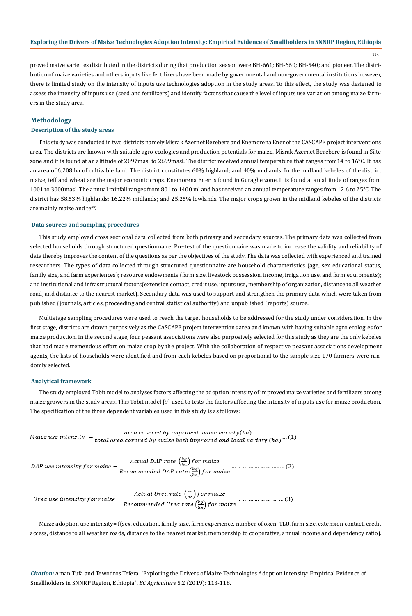114

proved maize varieties distributed in the districts during that production season were BH-661; BH-660; BH-540; and pioneer. The distribution of maize varieties and others inputs like fertilizers have been made by governmental and non-governmental institutions however, there is limited study on the intensity of inputs use technologies adoption in the study areas. To this effect, the study was designed to assess the intensity of inputs use (seed and fertilizers) and identify factors that cause the level of inputs use variation among maize farmers in the study area.

#### **Methodology**

#### **Description of the study areas**

This study was conducted in two districts namely Misrak Azernet Berebere and Enemorena Ener of the CASCAPE project interventions area. The districts are known with suitable agro ecologies and production potentials for maize. Misrak Azernet Berebere is found in Silte zone and it is found at an altitude of 2097masl to 2699masl. The district received annual temperature that ranges from14 to 16°C. It has an area of 6,208 ha of cultivable land. The district constitutes 60% highland; and 40% midlands. In the midland kebeles of the district maize, teff and wheat are the major economic crops. Enemorena Ener is found in Guraghe zone. It is found at an altitude of ranges from 1001 to 3000masl. The annual rainfall ranges from 801 to 1400 ml and has received an annual temperature ranges from 12.6 to 25°C. The district has 58.53% highlands; 16.22% midlands; and 25.25% lowlands. The major crops grown in the midland kebeles of the districts are mainly maize and teff.

#### **Data sources and sampling procedures**

This study employed cross sectional data collected from both primary and secondary sources. The primary data was collected from selected households through structured questionnaire. Pre-test of the questionnaire was made to increase the validity and reliability of data thereby improves the content of the questions as per the objectives of the study. The data was collected with experienced and trained researchers. The types of data collected through structured questionnaire are household characteristics (age, sex educational status, family size, and farm experiences); resource endowments (farm size, livestock possession, income, irrigation use, and farm equipments); and institutional and infrastructural factors(extension contact, credit use, inputs use, membership of organization, distance to all weather road, and distance to the nearest market). Secondary data was used to support and strengthen the primary data which were taken from published (journals, articles, proceeding and central statistical authority) and unpublished (reports) source.

Multistage sampling procedures were used to reach the target households to be addressed for the study under consideration. In the first stage, districts are drawn purposively as the CASCAPE project interventions area and known with having suitable agro ecologies for maize production. In the second stage, four peasant associations were also purposively selected for this study as they are the only kebeles that had made tremendous effort on maize crop by the project. With the collaboration of respective peasant associations development agents, the lists of households were identified and from each kebeles based on proportional to the sample size 170 farmers were randomly selected.

#### **Analytical framework**

The study employed Tobit model to analyses factors affecting the adoption intensity of improved maize varieties and fertilizers among maize growers in the study areas. This Tobit model [9] used to tests the factors affecting the intensity of inputs use for maize production. The specification of the three dependent variables used in this study is as follows:

| Maize use intensit $\rm v$ $=$ - | area covered by improved maize variety $(ha)$                                               |  |  |
|----------------------------------|---------------------------------------------------------------------------------------------|--|--|
|                                  | $\frac{1}{1}$ total area covered by maize both improved and local variety (ha) $\cdots$ (1) |  |  |

*DAP use intensity for maize* = 
$$
\frac{Actual \ DAP \ rate \left(\frac{\kappa g}{ha}\right) for maize}{Recommented \ DAP \ rate \left(\frac{\kappa g}{ha}\right) for maize}
$$
................. (2)

Maize adoption use intensity= f(sex, education, family size, farm experience, number of oxen, TLU, farm size, extension contact, credit access, distance to all weather roads, distance to the nearest market, membership to cooperative, annual income and dependency ratio).

*Citation:* Aman Tufa and Tewodros Tefera*.* "Exploring the Drivers of Maize Technologies Adoption Intensity: Empirical Evidence of Smallholders in SNNRP Region, Ethiopia". *EC Agriculture* 5.2 (2019): 113-118.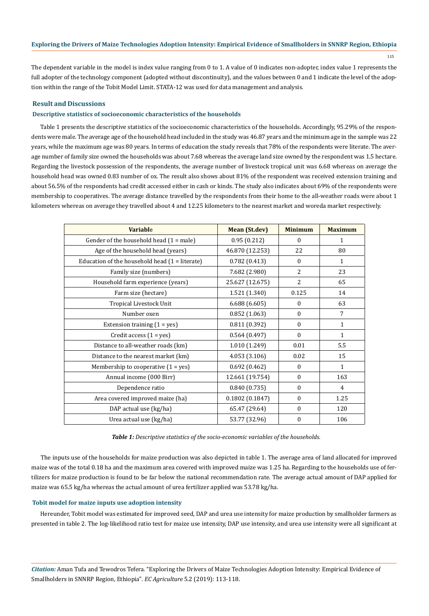The dependent variable in the model is index value ranging from 0 to 1. A value of 0 indicates non-adopter, index value 1 represents the full adopter of the technology component (adopted without discontinuity), and the values between 0 and 1 indicate the level of the adoption within the range of the Tobit Model Limit. STATA-12 was used for data management and analysis.

#### **Result and Discussions**

#### **Descriptive statistics of socioeconomic characteristics of the households**

Table 1 presents the descriptive statistics of the socioeconomic characteristics of the households. Accordingly, 95.29% of the respondents were male. The average age of the household head included in the study was 46.87 years and the minimum age in the sample was 22 years, while the maximum age was 80 years. In terms of education the study reveals that 78% of the respondents were literate. The average number of family size owned the households was about 7.68 whereas the average land size owned by the respondent was 1.5 hectare. Regarding the livestock possession of the respondents, the average number of livestock tropical unit was 6.68 whereas on average the household head was owned 0.83 number of ox. The result also shows about 81% of the respondent was received extension training and about 56.5% of the respondents had credit accessed either in cash or kinds. The study also indicates about 69% of the respondents were membership to cooperatives. The average distance travelled by the respondents from their home to the all-weather roads were about 1 kilometers whereas on average they travelled about 4 and 12.25 kilometers to the nearest market and woreda market respectively.

| <b>Variable</b>                                  | <b>Mean (St.dev)</b> | <b>Minimum</b> | <b>Maximum</b> |
|--------------------------------------------------|----------------------|----------------|----------------|
| Gender of the household head $(1 = male)$        | 0.95(0.212)          | $\Omega$       | 1              |
| Age of the household head (years)                | 46.870 (12.253)      | 22             | 80             |
| Education of the household head $(1 =$ literate) | 0.782(0.413)         | $\mathbf{0}$   | $\mathbf{1}$   |
| Family size (numbers)                            | 7.682 (2.980)        | 2              | 23             |
| Household farm experience (years)                | 25.627 (12.675)      | $\overline{2}$ | 65             |
| Farm size (hectare)                              | 1.521 (1.340)        | 0.125          | 14             |
| Tropical Livestock Unit                          | 6.688(6.605)         | $\bf{0}$       | 63             |
| Number oxen                                      | 0.852(1.063)         | $\mathbf{0}$   | 7              |
| Extension training $(1 = yes)$                   | 0.811(0.392)         | $\mathbf{0}$   | $\mathbf{1}$   |
| Credit access $(1 = yes)$                        | 0.564(0.497)         | $\mathbf{0}$   | $\mathbf{1}$   |
| Distance to all-weather roads (km)               | 1.010 (1.249)        | 0.01           | 5.5            |
| Distance to the nearest market (km)              | 4.053 (3.106)        | 0.02           | 15             |
| Membership to cooperative $(1 = yes)$            | 0.692(0.462)         | $\Omega$       | $\mathbf{1}$   |
| Annual income (000 Birr)                         | 12.661 (19.754)      | $\mathbf{0}$   | 163            |
| Dependence ratio                                 | 0.840(0.735)         | $\mathbf{0}$   | 4              |
| Area covered improved maize (ha)                 | 0.1802(0.1847)       | $\theta$       | 1.25           |
| DAP actual use (kg/ha)                           | 65.47 (29.64)        | $\Omega$       | 120            |
| Urea actual use (kg/ha)                          | 53.77 (32.96)        | $\mathbf{0}$   | 106            |

*Table 1: Descriptive statistics of the socio-economic variables of the households.*

The inputs use of the households for maize production was also depicted in table 1. The average area of land allocated for improved maize was of the total 0.18 ha and the maximum area covered with improved maize was 1.25 ha. Regarding to the households use of fertilizers for maize production is found to be far below the national recommendation rate. The average actual amount of DAP applied for maize was 65.5 kg/ha whereas the actual amount of urea fertilizer applied was 53.78 kg/ha.

#### **Tobit model for maize inputs use adoption intensity**

Hereunder, Tobit model was estimated for improved seed, DAP and urea use intensity for maize production by smallholder farmers as presented in table 2. The log-likelihood ratio test for maize use intensity, DAP use intensity, and urea use intensity were all significant at

*Citation:* Aman Tufa and Tewodros Tefera*.* "Exploring the Drivers of Maize Technologies Adoption Intensity: Empirical Evidence of Smallholders in SNNRP Region, Ethiopia". *EC Agriculture* 5.2 (2019): 113-118.

115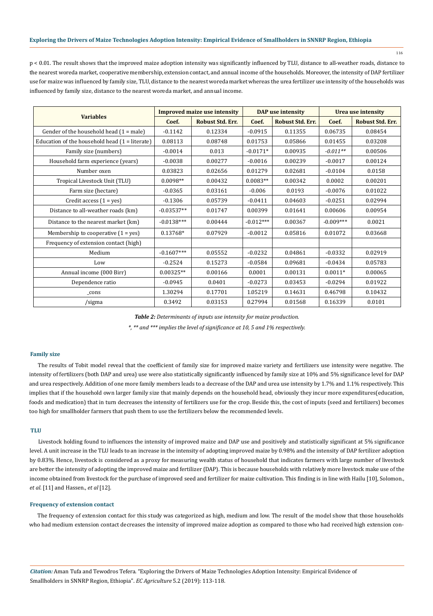116

p < 0.01. The result shows that the improved maize adoption intensity was significantly influenced by TLU, distance to all-weather roads, distance to the nearest woreda market, cooperative membership, extension contact, and annual income of the households. Moreover, the intensity of DAP fertilizer use for maize was influenced by family size, TLU, distance to the nearest woreda market whereas the urea fertilizer use intensity of the households was influenced by family size, distance to the nearest woreda market, and annual income.

|                                                  | <b>Improved maize use intensity</b> |                         | DAP use intensity |                         | Urea use intensity |                         |
|--------------------------------------------------|-------------------------------------|-------------------------|-------------------|-------------------------|--------------------|-------------------------|
| <b>Variables</b>                                 | Coef.                               | <b>Robust Std. Err.</b> | Coef.             | <b>Robust Std. Err.</b> | Coef.              | <b>Robust Std. Err.</b> |
| Gender of the household head $(1 = male)$        | $-0.1142$                           | 0.12334                 | $-0.0915$         | 0.11355                 | 0.06735            | 0.08454                 |
| Education of the household head $(1 =$ literate) | 0.08113                             | 0.08748                 | 0.01753           | 0.05866                 | 0.01455            | 0.03208                 |
| Family size (numbers)                            | $-0.0014$                           | 0.013                   | $-0.0171*$        | 0.00935                 | $-0.011**$         | 0.00506                 |
| Household farm experience (years)                | $-0.0038$                           | 0.00277                 | $-0.0016$         | 0.00239                 | $-0.0017$          | 0.00124                 |
| Number oxen                                      | 0.03823                             | 0.02656                 | 0.01279           | 0.02681                 | $-0.0104$          | 0.0158                  |
| Tropical Livestock Unit (TLU)                    | $0.0098**$                          | 0.00432                 | $0.0083**$        | 0.00342                 | 0.0002             | 0.00201                 |
| Farm size (hectare)                              | $-0.0365$                           | 0.03161                 | $-0.006$          | 0.0193                  | $-0.0076$          | 0.01022                 |
| Credit access $(1 = yes)$                        | $-0.1306$                           | 0.05739                 | $-0.0411$         | 0.04603                 | $-0.0251$          | 0.02994                 |
| Distance to all-weather roads (km)               | $-0.03537**$                        | 0.01747                 | 0.00399           | 0.01641                 | 0.00606            | 0.00954                 |
| Distance to the nearest market (km)              | $-0.0138***$                        | 0.00444                 | $-0.012***$       | 0.00367                 | $-0.009***$        | 0.0021                  |
| Membership to cooperative $(1 = yes)$            | 0.13768*                            | 0.07929                 | $-0.0012$         | 0.05816                 | 0.01072            | 0.03668                 |
| Frequency of extension contact (high)            |                                     |                         |                   |                         |                    |                         |
| Medium                                           | $-0.1607***$                        | 0.05552                 | $-0.0232$         | 0.04861                 | $-0.0332$          | 0.02919                 |
| Low                                              | $-0.2524$                           | 0.15273                 | $-0.0584$         | 0.09681                 | $-0.0434$          | 0.05783                 |
| Annual income (000 Birr)                         | $0.00325**$                         | 0.00166                 | 0.0001            | 0.00131                 | $0.0011*$          | 0.00065                 |
| Dependence ratio                                 | $-0.0945$                           | 0.0401                  | $-0.0273$         | 0.03453                 | $-0.0294$          | 0.01922                 |
| $_{\rm cons}$                                    | 1.30294                             | 0.17701                 | 1.05219           | 0.14631                 | 0.46798            | 0.10432                 |
| /sigma                                           | 0.3492                              | 0.03153                 | 0.27994           | 0.01568                 | 0.16339            | 0.0101                  |

*Table 2: Determinants of inputs use intensity for maize production.*

*\*, \*\* and \*\*\* implies the level of significance at 10, 5 and 1% respectively.*

#### **Family size**

The results of Tobit model reveal that the coefficient of family size for improved maize variety and fertilizers use intensity were negative. The intensity of fertilizers (both DAP and urea) use were also statistically significantly influenced by family size at 10% and 5% significance level for DAP and urea respectively. Addition of one more family members leads to a decrease of the DAP and urea use intensity by 1.7% and 1.1% respectively. This implies that if the household own larger family size that mainly depends on the household head, obviously they incur more expenditures(education, foods and medication) that in turn decreases the intensity of fertilizers use for the crop. Beside this, the cost of inputs (seed and fertilizers) becomes too high for smallholder farmers that push them to use the fertilizers below the recommended levels.

#### **TLU**

Livestock holding found to influences the intensity of improved maize and DAP use and positively and statistically significant at 5% significance level. A unit increase in the TLU leads to an increase in the intensity of adopting improved maize by 0.98% and the intensity of DAP fertilizer adoption by 0.83%. Hence, livestock is considered as a proxy for measuring wealth status of household that indicates farmers with large number of livestock are better the intensity of adopting the improved maize and fertilizer (DAP). This is because households with relatively more livestock make use of the income obtained from livestock for the purchase of improved seed and fertilizer for maize cultivation. This finding is in line with Hailu [10], Solomon., *et al*. [11] and Hassen., *et al* [12].

#### **Frequency of extension contact**

The frequency of extension contact for this study was categorized as high, medium and low. The result of the model show that those households who had medium extension contact decreases the intensity of improved maize adoption as compared to those who had received high extension con-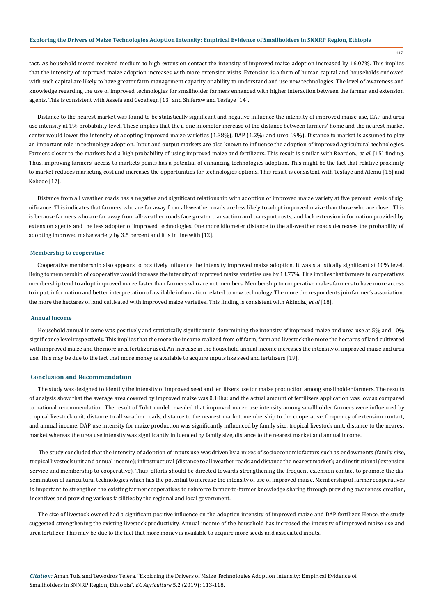117

tact. As household moved received medium to high extension contact the intensity of improved maize adoption increased by 16.07%. This implies that the intensity of improved maize adoption increases with more extension visits. Extension is a form of human capital and households endowed with such capital are likely to have greater farm management capacity or ability to understand and use new technologies. The level of awareness and knowledge regarding the use of improved technologies for smallholder farmers enhanced with higher interaction between the farmer and extension agents. This is consistent with Assefa and Gezahegn [13] and Shiferaw and Tesfaye [14].

Distance to the nearest market was found to be statistically significant and negative influence the intensity of improved maize use, DAP and urea use intensity at 1% probability level. These implies that the a one kilometer increase of the distance between farmers' home and the nearest market center would lower the intensity of adopting improved maize varieties (1.38%), DAP (1.2%) and urea (.9%). Distance to market is assumed to play an important role in technology adoption. Input and output markets are also known to influence the adoption of improved agricultural technologies. Farmers closer to the markets had a high probability of using improved maize and fertilizers. This result is similar with Reardon., *et al*. [15] finding. Thus, improving farmers' access to markets points has a potential of enhancing technologies adoption. This might be the fact that relative proximity to market reduces marketing cost and increases the opportunities for technologies options. This result is consistent with Tesfaye and Alemu [16] and Kebede [17].

Distance from all weather roads has a negative and significant relationship with adoption of improved maize variety at five percent levels of significance. This indicates that farmers who are far away from all-weather roads are less likely to adopt improved maize than those who are closer. This is because farmers who are far away from all-weather roads face greater transaction and transport costs, and lack extension information provided by extension agents and the less adopter of improved technologies. One more kilometer distance to the all-weather roads decreases the probability of adopting improved maize variety by 3.5 percent and it is in line with [12].

#### **Membership to cooperative**

Cooperative membership also appears to positively influence the intensity improved maize adoption. It was statistically significant at 10% level. Being to membership of cooperative would increase the intensity of improved maize varieties use by 13.77%. This implies that farmers in cooperatives membership tend to adopt improved maize faster than farmers who are not members. Membership to cooperative makes farmers to have more access to input, information and better interpretation of available information related to new technology. The more the respondents join farmer's association, the more the hectares of land cultivated with improved maize varieties. This finding is consistent with Akinola., *et al* [18].

#### **Annual Income**

Household annual income was positively and statistically significant in determining the intensity of improved maize and urea use at 5% and 10% significance level respectively. This implies that the more the income realized from off farm, farm and livestock the more the hectares of land cultivated with improved maize and the more urea fertilizer used. An increase in the household annual income increases the intensity of improved maize and urea use. This may be due to the fact that more money is available to acquire inputs like seed and fertilizers [19].

#### **Conclusion and Recommendation**

The study was designed to identify the intensity of improved seed and fertilizers use for maize production among smallholder farmers. The results of analysis show that the average area covered by improved maize was 0.18ha; and the actual amount of fertilizers application was low as compared to national recommendation. The result of Tobit model revealed that improved maize use intensity among smallholder farmers were influenced by tropical livestock unit, distance to all weather roads, distance to the nearest market, membership to the cooperative, frequency of extension contact, and annual income. DAP use intensity for maize production was significantly influenced by family size, tropical livestock unit, distance to the nearest market whereas the urea use intensity was significantly influenced by family size, distance to the nearest market and annual income.

The study concluded that the intensity of adoption of inputs use was driven by a mixes of socioeconomic factors such as endowments (family size, tropical livestock unit and annual income); infrastructural (distance to all weather roads and distance the nearest market); and institutional (extension service and membership to cooperative). Thus, efforts should be directed towards strengthening the frequent extension contact to promote the dissemination of agricultural technologies which has the potential to increase the intensity of use of improved maize. Membership of farmer cooperatives is important to strengthen the existing farmer cooperatives to reinforce farmer-to-farmer knowledge sharing through providing awareness creation, incentives and providing various facilities by the regional and local government.

The size of livestock owned had a significant positive influence on the adoption intensity of improved maize and DAP fertilizer. Hence, the study suggested strengthening the existing livestock productivity. Annual income of the household has increased the intensity of improved maize use and urea fertilizer. This may be due to the fact that more money is available to acquire more seeds and associated inputs.